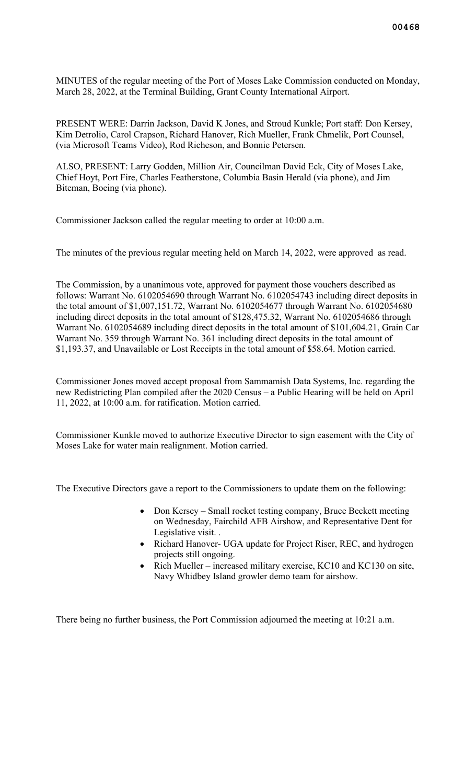MINUTES of the regular meeting of the Port of Moses Lake Commission conducted on Monday, March 28, 2022, at the Terminal Building, Grant County International Airport.

PRESENT WERE: Darrin Jackson, David K Jones, and Stroud Kunkle; Port staff: Don Kersey, Kim Detrolio, Carol Crapson, Richard Hanover, Rich Mueller, Frank Chmelik, Port Counsel, (via Microsoft Teams Video), Rod Richeson, and Bonnie Petersen.

ALSO, PRESENT: Larry Godden, Million Air, Councilman David Eck, City of Moses Lake, Chief Hoyt, Port Fire, Charles Featherstone, Columbia Basin Herald (via phone), and Jim Biteman, Boeing (via phone).

Commissioner Jackson called the regular meeting to order at 10:00 a.m.

The minutes of the previous regular meeting held on March 14, 2022, were approved as read.

The Commission, by a unanimous vote, approved for payment those vouchers described as follows: Warrant No. 6102054690 through Warrant No. 6102054743 including direct deposits in the total amount of \$1,007,151.72, Warrant No. 6102054677 through Warrant No. 6102054680 including direct deposits in the total amount of \$128,475.32, Warrant No. 6102054686 through Warrant No. 6102054689 including direct deposits in the total amount of \$101,604.21, Grain Car Warrant No. 359 through Warrant No. 361 including direct deposits in the total amount of \$1,193.37, and Unavailable or Lost Receipts in the total amount of \$58.64. Motion carried.

Commissioner Jones moved accept proposal from Sammamish Data Systems, Inc. regarding the new Redistricting Plan compiled after the 2020 Census – a Public Hearing will be held on April 11, 2022, at 10:00 a.m. for ratification. Motion carried.

Commissioner Kunkle moved to authorize Executive Director to sign easement with the City of Moses Lake for water main realignment. Motion carried.

The Executive Directors gave a report to the Commissioners to update them on the following:

- Don Kersey Small rocket testing company, Bruce Beckett meeting on Wednesday, Fairchild AFB Airshow, and Representative Dent for Legislative visit. .
- Richard Hanover- UGA update for Project Riser, REC, and hydrogen projects still ongoing.
- Rich Mueller increased military exercise, KC10 and KC130 on site, Navy Whidbey Island growler demo team for airshow.

There being no further business, the Port Commission adjourned the meeting at 10:21 a.m.